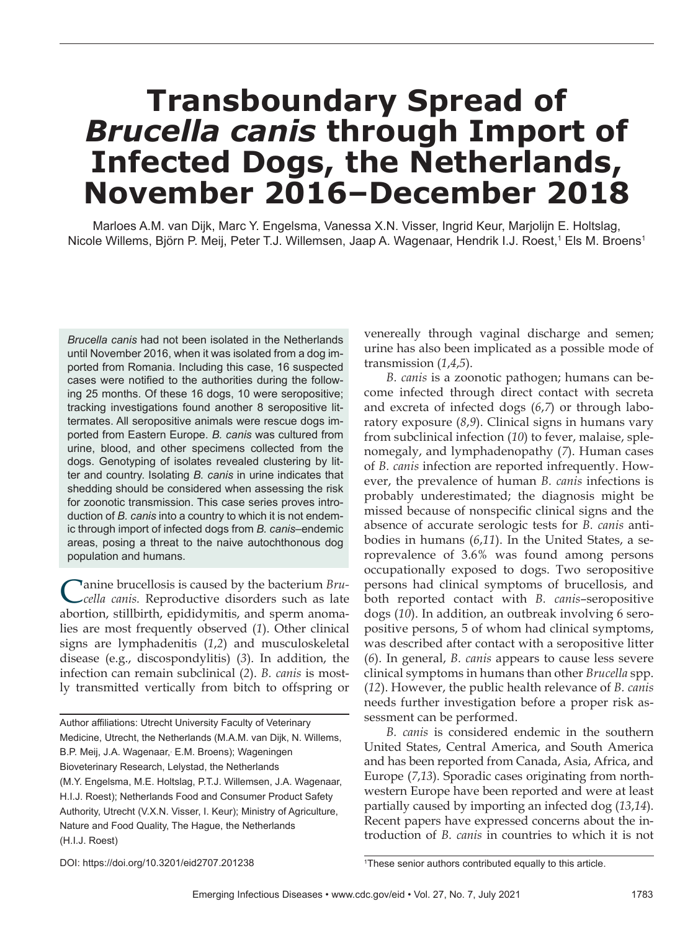# **Transboundary Spread of**  *Brucella canis* **through Import of Infected Dogs, the Netherlands, November 2016–December 2018**

Marloes A.M. van Dijk, Marc Y. Engelsma, Vanessa X.N. Visser, Ingrid Keur, Marjolijn E. Holtslag, Nicole Willems, Björn P. Meij, Peter T.J. Willemsen, Jaap A. Wagenaar, Hendrik I.J. Roest,<sup>1</sup> Els M. Broens<sup>1</sup>

**Brucella canis had not been isolated in the Netherlands** until November 2016, when it was isolated from a dog imported from Romania. Including this case, 16 suspected cases were notified to the authorities during the following 25 months. Of these 16 dogs, 10 were seropositive; tracking investigations found another 8 seropositive littermates. All seropositive animals were rescue dogs imported from Eastern Europe. *B. canis* was cultured from urine, blood, and other specimens collected from the dogs. Genotyping of isolates revealed clustering by litter and country. Isolating *B. canis* in urine indicates that shedding should be considered when assessing the risk for zoonotic transmission. This case series proves introduction of *B. canis* into a country to which it is not endemic through import of infected dogs from *B. canis*–endemic areas, posing a threat to the naive autochthonous dog population and humans.

Canine brucellosis is caused by the bacterium *Bru-cella canis.* Reproductive disorders such as late abortion, stillbirth, epididymitis, and sperm anomalies are most frequently observed (*1*). Other clinical signs are lymphadenitis (*1*,*2*) and musculoskeletal disease (e.g., discospondylitis) (*3*). In addition, the infection can remain subclinical (*2*). *B. canis* is mostly transmitted vertically from bitch to offspring or

Author affiliations: Utrecht University Faculty of Veterinary Medicine, Utrecht, the Netherlands (M.A.M. van Dijk, N. Willems, B.P. Meij, J.A. Wagenaar, E.M. Broens); Wageningen Bioveterinary Research, Lelystad, the Netherlands (M.Y. Engelsma, M.E. Holtslag, P.T.J. Willemsen, J.A. Wagenaar, H.I.J. Roest); Netherlands Food and Consumer Product Safety Authority, Utrecht (V.X.N. Visser, I. Keur); Ministry of Agriculture, Nature and Food Quality, The Hague, the Netherlands (H.I.J. Roest)

venereally through vaginal discharge and semen; urine has also been implicated as a possible mode of transmission (*1*,*4*,*5*).

*B. canis* is a zoonotic pathogen; humans can become infected through direct contact with secreta and excreta of infected dogs (*6*,*7*) or through laboratory exposure (*8*,*9*). Clinical signs in humans vary from subclinical infection (*10*) to fever, malaise, splenomegaly, and lymphadenopathy (*7*). Human cases of *B. canis* infection are reported infrequently. However, the prevalence of human *B. canis* infections is probably underestimated; the diagnosis might be missed because of nonspecific clinical signs and the absence of accurate serologic tests for *B. canis* antibodies in humans (*6*,*11*). In the United States, a seroprevalence of 3.6% was found among persons occupationally exposed to dogs. Two seropositive persons had clinical symptoms of brucellosis, and both reported contact with *B. canis*–seropositive dogs (*10*). In addition, an outbreak involving 6 seropositive persons, 5 of whom had clinical symptoms, was described after contact with a seropositive litter (*6*). In general, *B. canis* appears to cause less severe clinical symptoms in humans than other *Brucella* spp. (*12*). However, the public health relevance of *B. canis* needs further investigation before a proper risk assessment can be performed.

*B. canis* is considered endemic in the southern United States, Central America, and South America and has been reported from Canada, Asia, Africa, and Europe (*7*,*13*). Sporadic cases originating from northwestern Europe have been reported and were at least partially caused by importing an infected dog (*13*,*14*). Recent papers have expressed concerns about the introduction of *B. canis* in countries to which it is not

DOI: https://doi.org/10.3201/eid2707.201238 <sup>1</sup>

<sup>&</sup>lt;sup>1</sup>These senior authors contributed equally to this article.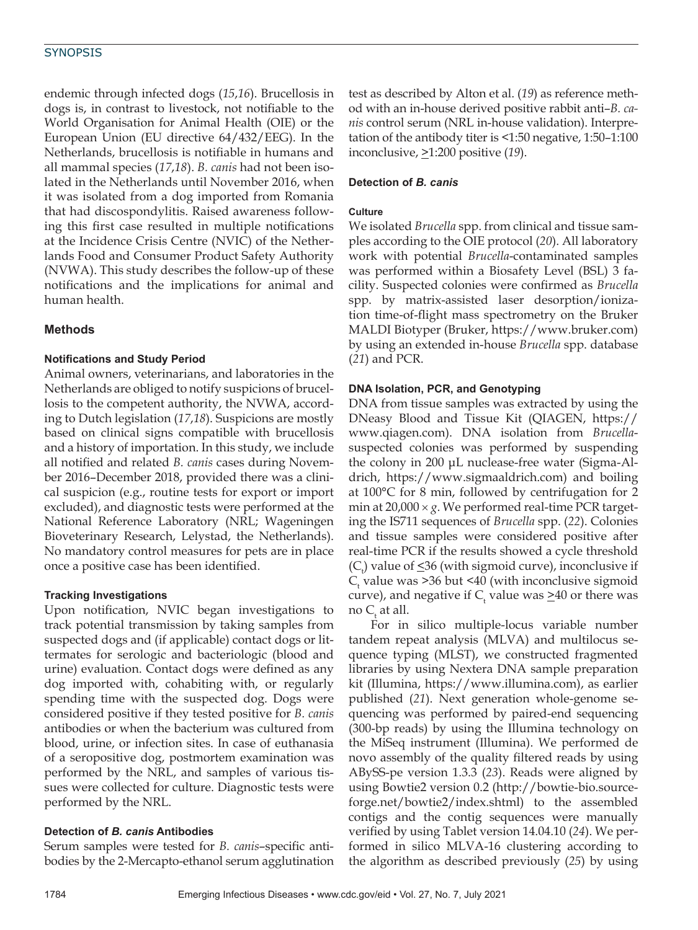# **SYNOPSIS**

endemic through infected dogs (*15*,*16*). Brucellosis in dogs is, in contrast to livestock, not notifiable to the World Organisation for Animal Health (OIE) or the European Union (EU directive 64/432/EEG). In the Netherlands, brucellosis is notifiable in humans and all mammal species (*17*,*18*). *B. canis* had not been isolated in the Netherlands until November 2016, when it was isolated from a dog imported from Romania that had discospondylitis. Raised awareness following this first case resulted in multiple notifications at the Incidence Crisis Centre (NVIC) of the Netherlands Food and Consumer Product Safety Authority (NVWA). This study describes the follow-up of these notifications and the implications for animal and human health.

# **Methods**

## **Notifications and Study Period**

Animal owners, veterinarians, and laboratories in the Netherlands are obliged to notify suspicions of brucellosis to the competent authority, the NVWA, according to Dutch legislation (*17*,*18*). Suspicions are mostly based on clinical signs compatible with brucellosis and a history of importation. In this study, we include all notified and related *B. canis* cases during November 2016–December 2018, provided there was a clinical suspicion (e.g., routine tests for export or import excluded), and diagnostic tests were performed at the National Reference Laboratory (NRL; Wageningen Bioveterinary Research, Lelystad, the Netherlands). No mandatory control measures for pets are in place once a positive case has been identified.

### **Tracking Investigations**

Upon notification, NVIC began investigations to track potential transmission by taking samples from suspected dogs and (if applicable) contact dogs or littermates for serologic and bacteriologic (blood and urine) evaluation. Contact dogs were defined as any dog imported with, cohabiting with, or regularly spending time with the suspected dog. Dogs were considered positive if they tested positive for *B. canis* antibodies or when the bacterium was cultured from blood, urine, or infection sites. In case of euthanasia of a seropositive dog, postmortem examination was performed by the NRL, and samples of various tissues were collected for culture. Diagnostic tests were performed by the NRL.

# **Detection of** *B. canis* **Antibodies**

Serum samples were tested for *B. canis*–specific antibodies by the 2-Mercapto-ethanol serum agglutination

test as described by Alton et al. (*19*) as reference method with an in-house derived positive rabbit anti–*B. canis* control serum (NRL in-house validation). Interpretation of the antibody titer is <1:50 negative, 1:50–1:100 inconclusive, >1:200 positive (*19*).

# **Detection of** *B. canis*

## **Culture**

We isolated *Brucella* spp. from clinical and tissue samples according to the OIE protocol (*20*). All laboratory work with potential *Brucella*-contaminated samples was performed within a Biosafety Level (BSL) 3 facility. Suspected colonies were confirmed as *Brucella* spp. by matrix-assisted laser desorption/ionization time-of-flight mass spectrometry on the Bruker MALDI Biotyper (Bruker, https://www.bruker.com) by using an extended in-house *Brucella* spp. database (*21*) and PCR.

# **DNA Isolation, PCR, and Genotyping**

DNA from tissue samples was extracted by using the DNeasy Blood and Tissue Kit (QIAGEN, https:// www.qiagen.com). DNA isolation from *Brucella*suspected colonies was performed by suspending the colony in 200 μL nuclease-free water (Sigma-Aldrich, https://www.sigmaaldrich.com) and boiling at 100°C for 8 min, followed by centrifugation for 2 min at  $20,000 \times g$ . We performed real-time PCR targeting the IS711 sequences of *Brucella* spp. (*22*). Colonies and tissue samples were considered positive after real-time PCR if the results showed a cycle threshold  $(C_t)$  value of  $\leq$ 36 (with sigmoid curve), inconclusive if  $C_t$  value was >36 but <40 (with inconclusive sigmoid curve), and negative if  $C_t$  value was  $\geq 40$  or there was no C<sub>t</sub> at all.

For in silico multiple-locus variable number tandem repeat analysis (MLVA) and multilocus sequence typing (MLST), we constructed fragmented libraries by using Nextera DNA sample preparation kit (Illumina, https://www.illumina.com), as earlier published (*21*). Next generation whole-genome sequencing was performed by paired-end sequencing (300-bp reads) by using the Illumina technology on the MiSeq instrument (Illumina). We performed de novo assembly of the quality filtered reads by using ABySS-pe version 1.3.3 (*23*). Reads were aligned by using Bowtie2 version 0.2 (http://bowtie-bio.sourceforge.net/bowtie2/index.shtml) to the assembled contigs and the contig sequences were manually verified by using Tablet version 14.04.10 (*24*). We performed in silico MLVA-16 clustering according to the algorithm as described previously (*25*) by using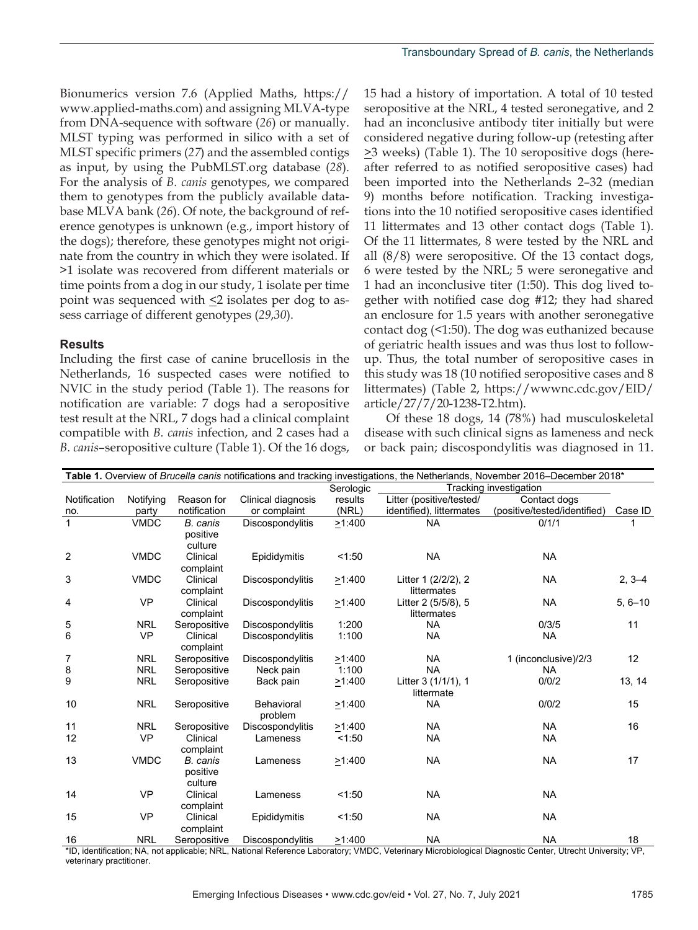Bionumerics version 7.6 (Applied Maths, https:// www.applied-maths.com) and assigning MLVA-type from DNA-sequence with software (*26*) or manually. MLST typing was performed in silico with a set of MLST specific primers (*27*) and the assembled contigs as input, by using the PubMLST.org database (*28*). For the analysis of *B. canis* genotypes, we compared them to genotypes from the publicly available database MLVA bank (*26*). Of note, the background of reference genotypes is unknown (e.g., import history of the dogs); therefore, these genotypes might not originate from the country in which they were isolated. If >1 isolate was recovered from different materials or time points from a dog in our study, 1 isolate per time point was sequenced with  $\leq$  isolates per dog to assess carriage of different genotypes (*29*,*30*).

### **Results**

Including the first case of canine brucellosis in the Netherlands, 16 suspected cases were notified to NVIC in the study period (Table 1). The reasons for notification are variable: 7 dogs had a seropositive test result at the NRL, 7 dogs had a clinical complaint compatible with *B. canis* infection, and 2 cases had a *B. canis*–seropositive culture (Table 1). Of the 16 dogs,

15 had a history of importation. A total of 10 tested seropositive at the NRL, 4 tested seronegative, and 2 had an inconclusive antibody titer initially but were considered negative during follow-up (retesting after  $\geq$ 3 weeks) (Table 1). The 10 seropositive dogs (hereafter referred to as notified seropositive cases) had been imported into the Netherlands 2–32 (median 9) months before notification. Tracking investigations into the 10 notified seropositive cases identified 11 littermates and 13 other contact dogs (Table 1). Of the 11 littermates, 8 were tested by the NRL and all (8/8) were seropositive. Of the 13 contact dogs, 6 were tested by the NRL; 5 were seronegative and 1 had an inconclusive titer (1:50). This dog lived together with notified case dog #12; they had shared an enclosure for 1.5 years with another seronegative contact dog (<1:50). The dog was euthanized because of geriatric health issues and was thus lost to followup. Thus, the total number of seropositive cases in this study was 18 (10 notified seropositive cases and 8 littermates) (Table 2, https://wwwnc.cdc.gov/EID/ article/27/7/20-1238-T2.htm).

Of these 18 dogs, 14 (78%) had musculoskeletal disease with such clinical signs as lameness and neck or back pain; discospondylitis was diagnosed in 11.

| Table 1. Overview of Brucella canis notifications and tracking investigations, the Netherlands, November 2016–December 2018* |             |                       |                    |              |                          |                              |             |
|------------------------------------------------------------------------------------------------------------------------------|-------------|-----------------------|--------------------|--------------|--------------------------|------------------------------|-------------|
|                                                                                                                              |             |                       |                    | Serologic    | Tracking investigation   |                              |             |
| Notification                                                                                                                 | Notifying   | Reason for            | Clinical diagnosis | results      | Litter (positive/tested/ | Contact dogs                 |             |
| no.                                                                                                                          | party       | notification          | or complaint       | (NRL)        | identified), littermates | (positive/tested/identified) | Case ID     |
| $\mathbf{1}$                                                                                                                 | <b>VMDC</b> | B. canis              | Discospondylitis   | >1:400       | <b>NA</b>                | 0/1/1                        |             |
|                                                                                                                              |             | positive              |                    |              |                          |                              |             |
|                                                                                                                              |             | culture               |                    |              |                          |                              |             |
| 2                                                                                                                            | <b>VMDC</b> | Clinical              | Epididymitis       | 1:50         | <b>NA</b>                | <b>NA</b>                    |             |
|                                                                                                                              |             | complaint             |                    |              |                          |                              |             |
| 3                                                                                                                            | <b>VMDC</b> | Clinical              | Discospondylitis   | >1:400       | Litter 1 (2/2/2), 2      | <b>NA</b>                    | $2, 3 - 4$  |
|                                                                                                                              |             | complaint             |                    |              | littermates              |                              |             |
| 4                                                                                                                            | <b>VP</b>   | Clinical              | Discospondylitis   | $\geq$ 1:400 | Litter 2 (5/5/8), 5      | <b>NA</b>                    | $5, 6 - 10$ |
|                                                                                                                              |             | complaint             |                    |              | littermates              |                              |             |
| 5                                                                                                                            | <b>NRL</b>  | Seropositive          | Discospondylitis   | 1:200        | <b>NA</b>                | 0/3/5                        | 11          |
| 6                                                                                                                            | <b>VP</b>   | Clinical<br>complaint | Discospondylitis   | 1:100        | <b>NA</b>                | <b>NA</b>                    |             |
| 7                                                                                                                            | <b>NRL</b>  | Seropositive          | Discospondylitis   | >1:400       | <b>NA</b>                | 1 (inconclusive)/2/3         | 12          |
| 8                                                                                                                            | <b>NRL</b>  | Seropositive          | Neck pain          | 1:100        | <b>NA</b>                | <b>NA</b>                    |             |
| 9                                                                                                                            | <b>NRL</b>  | Seropositive          | Back pain          | >1:400       | Litter 3 (1/1/1), 1      | 0/0/2                        | 13, 14      |
|                                                                                                                              |             |                       |                    |              | littermate               |                              |             |
| 10                                                                                                                           | <b>NRL</b>  | Seropositive          | Behavioral         | >1:400       | <b>NA</b>                | 0/0/2                        | 15          |
|                                                                                                                              |             |                       | problem            |              |                          |                              |             |
| 11                                                                                                                           | <b>NRL</b>  | Seropositive          | Discospondylitis   | >1:400       | <b>NA</b>                | <b>NA</b>                    | 16          |
| 12                                                                                                                           | <b>VP</b>   | Clinical              | Lameness           | 1:50         | <b>NA</b>                | <b>NA</b>                    |             |
|                                                                                                                              |             | complaint             |                    |              |                          |                              |             |
| 13                                                                                                                           | <b>VMDC</b> | B. canis              | Lameness           | >1:400       | <b>NA</b>                | <b>NA</b>                    | 17          |
|                                                                                                                              |             | positive              |                    |              |                          |                              |             |
|                                                                                                                              |             | culture               |                    |              |                          |                              |             |
| 14                                                                                                                           | <b>VP</b>   | Clinical              | Lameness           | 1:50         | <b>NA</b>                | <b>NA</b>                    |             |
|                                                                                                                              |             | complaint             |                    |              |                          |                              |             |
| 15                                                                                                                           | <b>VP</b>   | Clinical              | Epididymitis       | 1:50         | <b>NA</b>                | <b>NA</b>                    |             |
|                                                                                                                              |             | complaint             |                    |              |                          |                              |             |
| 16                                                                                                                           | <b>NRL</b>  | Seropositive          | Discospondylitis   | >1:400       | <b>NA</b>                | <b>NA</b>                    | 18          |

\*ID, identification; NA, not applicable; NRL, National Reference Laboratory; VMDC, Veterinary Microbiological Diagnostic Center, Utrecht University; VP, veterinary practitioner.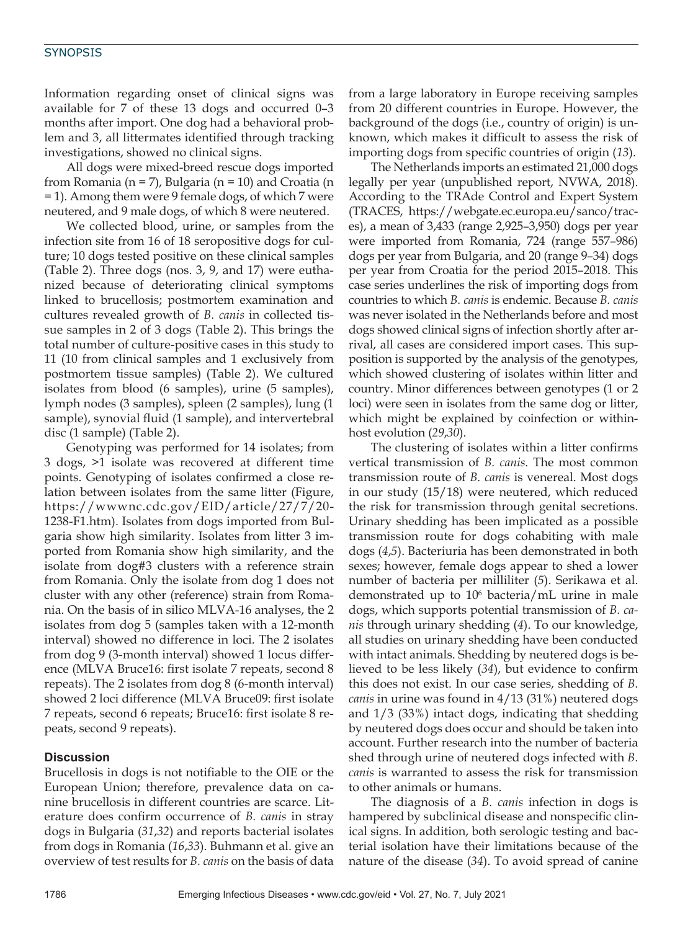## **SYNOPSIS**

Information regarding onset of clinical signs was available for 7 of these 13 dogs and occurred 0–3 months after import. One dog had a behavioral problem and 3, all littermates identified through tracking investigations, showed no clinical signs.

All dogs were mixed-breed rescue dogs imported from Romania (n = 7), Bulgaria (n = 10) and Croatia (n = 1). Among them were 9 female dogs, of which 7 were neutered, and 9 male dogs, of which 8 were neutered.

We collected blood, urine, or samples from the infection site from 16 of 18 seropositive dogs for culture; 10 dogs tested positive on these clinical samples (Table 2). Three dogs (nos. 3, 9, and 17) were euthanized because of deteriorating clinical symptoms linked to brucellosis; postmortem examination and cultures revealed growth of *B. canis* in collected tissue samples in 2 of 3 dogs (Table 2). This brings the total number of culture-positive cases in this study to 11 (10 from clinical samples and 1 exclusively from postmortem tissue samples) (Table 2). We cultured isolates from blood (6 samples), urine (5 samples), lymph nodes (3 samples), spleen (2 samples), lung (1 sample), synovial fluid (1 sample), and intervertebral disc (1 sample) (Table 2).

Genotyping was performed for 14 isolates; from 3 dogs, >1 isolate was recovered at different time points. Genotyping of isolates confirmed a close relation between isolates from the same litter (Figure, https://wwwnc.cdc.gov/EID/article/27/7/20- 1238-F1.htm). Isolates from dogs imported from Bulgaria show high similarity. Isolates from litter 3 imported from Romania show high similarity, and the isolate from dog#3 clusters with a reference strain from Romania. Only the isolate from dog 1 does not cluster with any other (reference) strain from Romania. On the basis of in silico MLVA-16 analyses, the 2 isolates from dog 5 (samples taken with a 12-month interval) showed no difference in loci. The 2 isolates from dog 9 (3-month interval) showed 1 locus difference (MLVA Bruce16: first isolate 7 repeats, second 8 repeats). The 2 isolates from dog 8 (6-month interval) showed 2 loci difference (MLVA Bruce09: first isolate 7 repeats, second 6 repeats; Bruce16: first isolate 8 repeats, second 9 repeats).

#### **Discussion**

Brucellosis in dogs is not notifiable to the OIE or the European Union; therefore, prevalence data on canine brucellosis in different countries are scarce. Literature does confirm occurrence of *B. canis* in stray dogs in Bulgaria (*31*,*32*) and reports bacterial isolates from dogs in Romania (*16*,*33*). Buhmann et al. give an overview of test results for *B. canis* on the basis of data

from a large laboratory in Europe receiving samples from 20 different countries in Europe. However, the background of the dogs (i.e., country of origin) is unknown, which makes it difficult to assess the risk of importing dogs from specific countries of origin (*13*).

The Netherlands imports an estimated 21,000 dogs legally per year (unpublished report, NVWA, 2018). According to the TRAde Control and Expert System (TRACES, https://webgate.ec.europa.eu/sanco/traces), a mean of 3,433 (range 2,925–3,950) dogs per year were imported from Romania, 724 (range 557–986) dogs per year from Bulgaria, and 20 (range 9–34) dogs per year from Croatia for the period 2015–2018. This case series underlines the risk of importing dogs from countries to which *B. canis* is endemic. Because *B. canis* was never isolated in the Netherlands before and most dogs showed clinical signs of infection shortly after arrival, all cases are considered import cases. This supposition is supported by the analysis of the genotypes, which showed clustering of isolates within litter and country. Minor differences between genotypes (1 or 2 loci) were seen in isolates from the same dog or litter, which might be explained by coinfection or withinhost evolution (*29*,*30*).

The clustering of isolates within a litter confirms vertical transmission of *B. canis.* The most common transmission route of *B. canis* is venereal. Most dogs in our study (15/18) were neutered, which reduced the risk for transmission through genital secretions. Urinary shedding has been implicated as a possible transmission route for dogs cohabiting with male dogs (*4*,*5*). Bacteriuria has been demonstrated in both sexes; however, female dogs appear to shed a lower number of bacteria per milliliter (*5*). Serikawa et al. demonstrated up to 106 bacteria/mL urine in male dogs, which supports potential transmission of *B. canis* through urinary shedding (*4*). To our knowledge, all studies on urinary shedding have been conducted with intact animals. Shedding by neutered dogs is believed to be less likely (*34*), but evidence to confirm this does not exist. In our case series, shedding of *B. canis* in urine was found in 4/13 (31%) neutered dogs and 1/3 (33%) intact dogs, indicating that shedding by neutered dogs does occur and should be taken into account. Further research into the number of bacteria shed through urine of neutered dogs infected with *B. canis* is warranted to assess the risk for transmission to other animals or humans.

The diagnosis of a *B. canis* infection in dogs is hampered by subclinical disease and nonspecific clinical signs. In addition, both serologic testing and bacterial isolation have their limitations because of the nature of the disease (*34*). To avoid spread of canine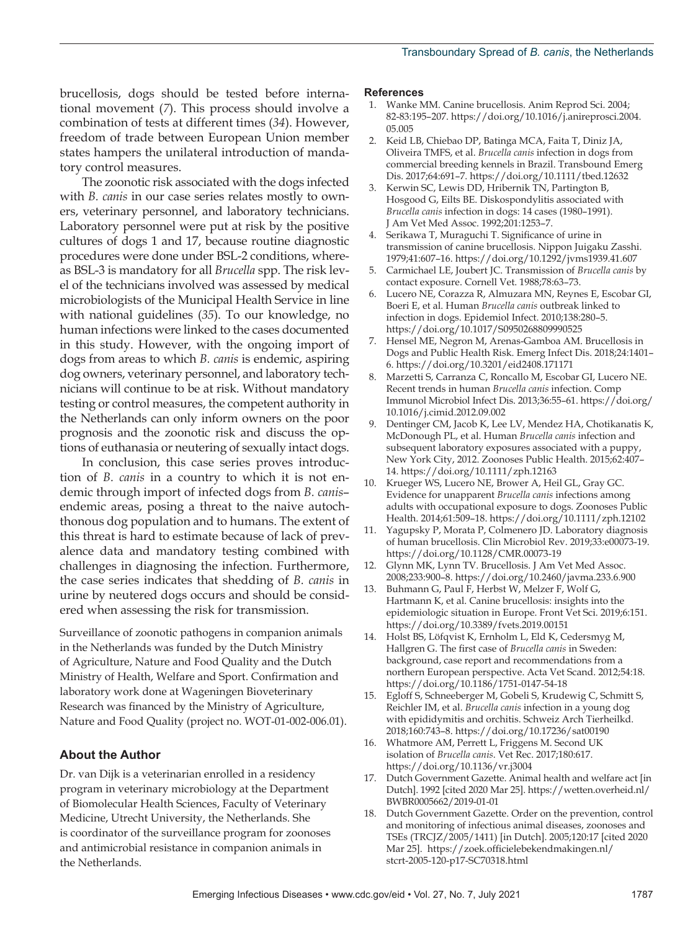brucellosis, dogs should be tested before international movement (*7*). This process should involve a combination of tests at different times (*34*). However, freedom of trade between European Union member states hampers the unilateral introduction of mandatory control measures.

The zoonotic risk associated with the dogs infected with *B. canis* in our case series relates mostly to owners, veterinary personnel, and laboratory technicians. Laboratory personnel were put at risk by the positive cultures of dogs 1 and 17, because routine diagnostic procedures were done under BSL-2 conditions, whereas BSL-3 is mandatory for all *Brucella* spp. The risk level of the technicians involved was assessed by medical microbiologists of the Municipal Health Service in line with national guidelines (*35*). To our knowledge, no human infections were linked to the cases documented in this study. However, with the ongoing import of dogs from areas to which *B. canis* is endemic, aspiring dog owners, veterinary personnel, and laboratory technicians will continue to be at risk. Without mandatory testing or control measures, the competent authority in the Netherlands can only inform owners on the poor prognosis and the zoonotic risk and discuss the options of euthanasia or neutering of sexually intact dogs.

In conclusion, this case series proves introduction of *B. canis* in a country to which it is not endemic through import of infected dogs from *B. canis*– endemic areas, posing a threat to the naive autochthonous dog population and to humans. The extent of this threat is hard to estimate because of lack of prevalence data and mandatory testing combined with challenges in diagnosing the infection. Furthermore, the case series indicates that shedding of *B. canis* in urine by neutered dogs occurs and should be considered when assessing the risk for transmission.

Surveillance of zoonotic pathogens in companion animals in the Netherlands was funded by the Dutch Ministry of Agriculture, Nature and Food Quality and the Dutch Ministry of Health, Welfare and Sport. Confirmation and laboratory work done at Wageningen Bioveterinary Research was financed by the Ministry of Agriculture, Nature and Food Quality (project no. WOT-01-002-006.01).

#### **About the Author**

Dr. van Dijk is a veterinarian enrolled in a residency program in veterinary microbiology at the Department of Biomolecular Health Sciences, Faculty of Veterinary Medicine, Utrecht University, the Netherlands. She is coordinator of the surveillance program for zoonoses and antimicrobial resistance in companion animals in the Netherlands.

#### **References**

- 1. Wanke MM. Canine brucellosis. Anim Reprod Sci. 2004; 82-83:195–207. https://doi.org/10.1016/j.anireprosci.2004. 05.005
- 2. Keid LB, Chiebao DP, Batinga MCA, Faita T, Diniz JA, Oliveira TMFS, et al. *Brucella canis* infection in dogs from commercial breeding kennels in Brazil. Transbound Emerg Dis. 2017;64:691–7. https://doi.org/10.1111/tbed.12632
- 3. Kerwin SC, Lewis DD, Hribernik TN, Partington B, Hosgood G, Eilts BE. Diskospondylitis associated with *Brucella canis* infection in dogs: 14 cases (1980–1991). J Am Vet Med Assoc. 1992;201:1253–7.
- 4. Serikawa T, Muraguchi T. Significance of urine in transmission of canine brucellosis. Nippon Juigaku Zasshi. 1979;41:607–16. https://doi.org/10.1292/jvms1939.41.607
- 5. Carmichael LE, Joubert JC. Transmission of *Brucella canis* by contact exposure. Cornell Vet. 1988;78:63–73.
- 6. Lucero NE, Corazza R, Almuzara MN, Reynes E, Escobar GI, Boeri E, et al. Human *Brucella canis* outbreak linked to infection in dogs. Epidemiol Infect. 2010;138:280–5. https://doi.org/10.1017/S0950268809990525
- 7. Hensel ME, Negron M, Arenas-Gamboa AM. Brucellosis in Dogs and Public Health Risk. Emerg Infect Dis. 2018;24:1401– 6. https://doi.org/10.3201/eid2408.171171
- 8. Marzetti S, Carranza C, Roncallo M, Escobar GI, Lucero NE. Recent trends in human *Brucella canis* infection. Comp Immunol Microbiol Infect Dis. 2013;36:55–61. https://doi.org/ 10.1016/j.cimid.2012.09.002
- 9. Dentinger CM, Jacob K, Lee LV, Mendez HA, Chotikanatis K, McDonough PL, et al. Human *Brucella canis* infection and subsequent laboratory exposures associated with a puppy, New York City, 2012. Zoonoses Public Health. 2015;62:407– 14. https://doi.org/10.1111/zph.12163
- 10. Krueger WS, Lucero NE, Brower A, Heil GL, Gray GC. Evidence for unapparent *Brucella canis* infections among adults with occupational exposure to dogs. Zoonoses Public Health. 2014;61:509–18. https://doi.org/10.1111/zph.12102
- Yagupsky P, Morata P, Colmenero JD. Laboratory diagnosis of human brucellosis. Clin Microbiol Rev. 2019;33:e00073-19. https://doi.org/10.1128/CMR.00073-19
- 12. Glynn MK, Lynn TV. Brucellosis. J Am Vet Med Assoc. 2008;233:900–8. https://doi.org/10.2460/javma.233.6.900
- 13. Buhmann G, Paul F, Herbst W, Melzer F, Wolf G, Hartmann K, et al. Canine brucellosis: insights into the epidemiologic situation in Europe. Front Vet Sci. 2019;6:151. https://doi.org/10.3389/fvets.2019.00151
- 14. Holst BS, Löfqvist K, Ernholm L, Eld K, Cedersmyg M, Hallgren G. The first case of *Brucella canis* in Sweden: background, case report and recommendations from a northern European perspective. Acta Vet Scand. 2012;54:18. https://doi.org/10.1186/1751-0147-54-18
- 15. Egloff S, Schneeberger M, Gobeli S, Krudewig C, Schmitt S, Reichler IM, et al. *Brucella canis* infection in a young dog with epididymitis and orchitis. Schweiz Arch Tierheilkd. 2018;160:743–8. https://doi.org/10.17236/sat00190
- 16. Whatmore AM, Perrett L, Friggens M. Second UK isolation of *Brucella canis*. Vet Rec. 2017;180:617. https://doi.org/10.1136/vr.j3004
- 17. Dutch Government Gazette. Animal health and welfare act [in Dutch]. 1992 [cited 2020 Mar 25]. https://wetten.overheid.nl/ BWBR0005662/2019-01-01
- 18. Dutch Government Gazette. Order on the prevention, control and monitoring of infectious animal diseases, zoonoses and TSEs (TRCJZ/2005/1411) [in Dutch]. 2005;120:17 [cited 2020 Mar 25]. https://zoek.officielebekendmakingen.nl/ stcrt-2005-120-p17-SC70318.html